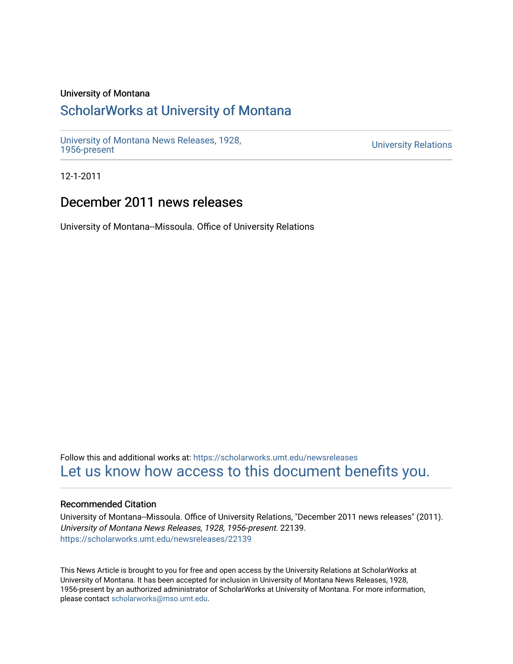# University of Montana

# [ScholarWorks at University of Montana](https://scholarworks.umt.edu/)

[University of Montana News Releases, 1928,](https://scholarworks.umt.edu/newsreleases) 

**University Relations** 

12-1-2011

# December 2011 news releases

University of Montana--Missoula. Office of University Relations

Follow this and additional works at: [https://scholarworks.umt.edu/newsreleases](https://scholarworks.umt.edu/newsreleases?utm_source=scholarworks.umt.edu%2Fnewsreleases%2F22139&utm_medium=PDF&utm_campaign=PDFCoverPages) [Let us know how access to this document benefits you.](https://goo.gl/forms/s2rGfXOLzz71qgsB2) 

# Recommended Citation

University of Montana--Missoula. Office of University Relations, "December 2011 news releases" (2011). University of Montana News Releases, 1928, 1956-present. 22139. [https://scholarworks.umt.edu/newsreleases/22139](https://scholarworks.umt.edu/newsreleases/22139?utm_source=scholarworks.umt.edu%2Fnewsreleases%2F22139&utm_medium=PDF&utm_campaign=PDFCoverPages) 

This News Article is brought to you for free and open access by the University Relations at ScholarWorks at University of Montana. It has been accepted for inclusion in University of Montana News Releases, 1928, 1956-present by an authorized administrator of ScholarWorks at University of Montana. For more information, please contact [scholarworks@mso.umt.edu.](mailto:scholarworks@mso.umt.edu)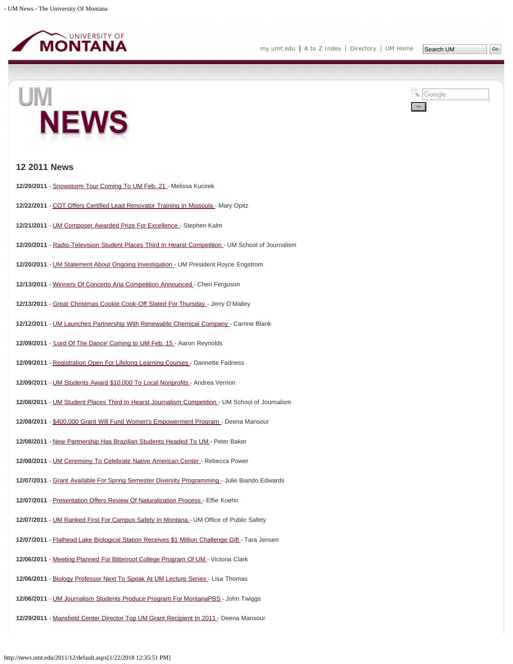

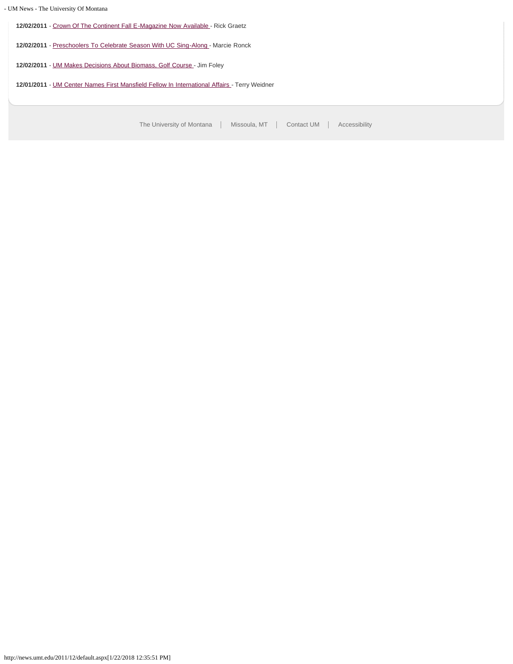# - UM News - The University Of Montana

**12/02/2011** - [Crown Of The Continent Fall E-Magazine Now Available](#page-30-0) - Rick Graetz

**12/02/2011** - [Preschoolers To Celebrate Season With UC Sing-Along -](#page-31-0) Marcie Ronck

**12/02/2011** - [UM Makes Decisions About Biomass, Golf Course](#page-32-0) - Jim Foley

**12/01/2011** - [UM Center Names First Mansfield Fellow In International Affairs](#page-34-0) - Terry Weidner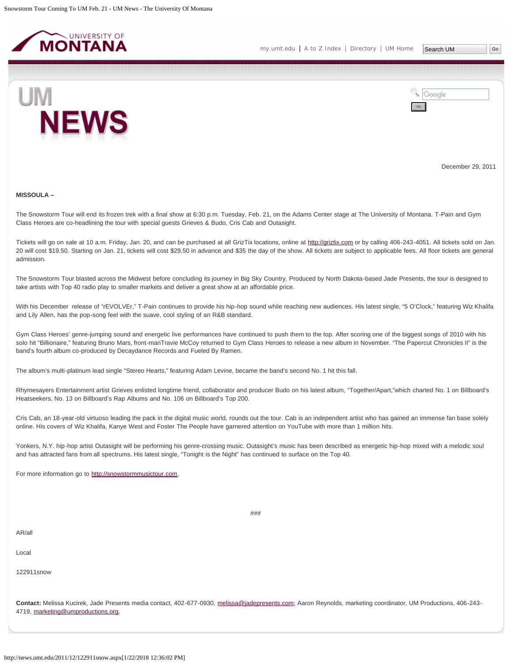<span id="page-3-0"></span>



December 29, 2011

#### **MISSOULA –**

The Snowstorm Tour will end its frozen trek with a final show at 6:30 p.m. Tuesday, Feb. 21, on the Adams Center stage at The University of Montana. T-Pain and Gym Class Heroes are co-headlining the tour with special guests Grieves & Budo, Cris Cab and Outasight.

Tickets will go on sale at 10 a.m. Friday, Jan. 20, and can be purchased at all GrizTix locations, online at [http://griztix.com](http://griztix.com/) or by calling 406-243-4051. All tickets sold on Jan. 20 will cost \$19.50. Starting on Jan. 21, tickets will cost \$29.50 in advance and \$35 the day of the show. All tickets are subject to applicable fees. All floor tickets are general admission.

The Snowstorm Tour blasted across the Midwest before concluding its journey in Big Sky Country. Produced by North Dakota-based Jade Presents, the tour is designed to take artists with Top 40 radio play to smaller markets and deliver a great show at an affordable price.

With his December release of "rEVOLVEr," T-Pain continues to provide his hip-hop sound while reaching new audiences. His latest single, "5 O'Clock," featuring Wiz Khalifa and Lily Allen, has the pop-song feel with the suave, cool styling of an R&B standard.

Gym Class Heroes' genre-jumping sound and energetic live performances have continued to push them to the top. After scoring one of the biggest songs of 2010 with his solo hit "Billionaire," featuring Bruno Mars, front-manTravie McCoy returned to Gym Class Heroes to release a new album in November. "The Papercut Chronicles II" is the band's fourth album co-produced by Decaydance Records and Fueled By Ramen.

The album's multi-platinum lead single "Stereo Hearts," featuring Adam Levine, became the band's second No. 1 hit this fall.

Rhymesayers Entertainment artist Grieves enlisted longtime friend, collaborator and producer Budo on his latest album, "Together/Apart,"which charted No. 1 on Billboard's Heatseekers, No. 13 on Billboard's Rap Albums and No. 106 on Billboard's Top 200.

Cris Cab, an 18-year-old virtuoso leading the pack in the digital music world, rounds out the tour. Cab is an independent artist who has gained an immense fan base solely online. His covers of Wiz Khalifa, Kanye West and Foster The People have garnered attention on YouTube with more than 1 million hits.

Yonkers, N.Y. hip-hop artist Outasight will be performing his genre-crossing music. Outasight's music has been described as energetic hip-hop mixed with a melodic soul and has attracted fans from all spectrums. His latest single, "Tonight is the Night" has continued to surface on the Top 40.

###

For more information go to [http://snowstormmusictour.com](http://snowstormmusictour.com/).

AR/all

Local

122911snow

**Contact:** Melissa Kucirek, Jade Presents media contact, 402-677-0930, [melissa@jadepresents.com;](mailto:melissa@jadepresents.com) Aaron Reynolds, marketing coordinator, UM Productions, 406-243- 4719, [marketing@umproductions.org.](mailto:marketing@umproductions.org)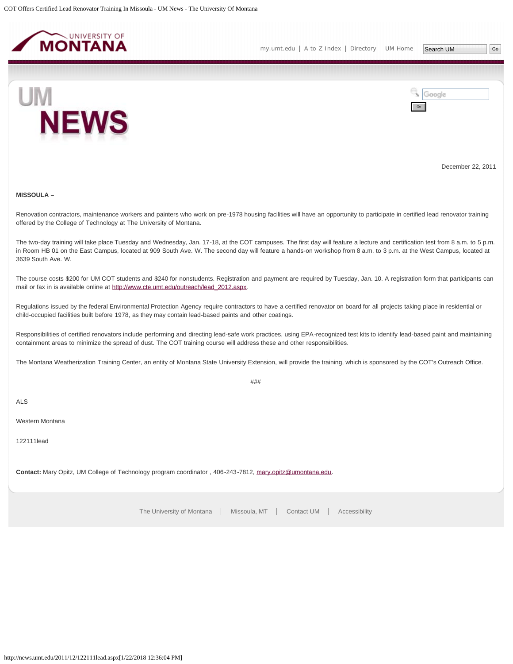<span id="page-5-0"></span>



December 22, 2011

# **MISSOULA –**

Renovation contractors, maintenance workers and painters who work on pre-1978 housing facilities will have an opportunity to participate in certified lead renovator training offered by the College of Technology at The University of Montana.

The two-day training will take place Tuesday and Wednesday, Jan. 17-18, at the COT campuses. The first day will feature a lecture and certification test from 8 a.m. to 5 p.m. in Room HB 01 on the East Campus, located at 909 South Ave. W. The second day will feature a hands-on workshop from 8 a.m. to 3 p.m. at the West Campus, located at 3639 South Ave. W.

The course costs \$200 for UM COT students and \$240 for nonstudents. Registration and payment are required by Tuesday, Jan. 10. A registration form that participants can mail or fax in is available online at [http://www.cte.umt.edu/outreach/lead\\_2012.aspx.](http://www.cte.umt.edu/outreach/lead_2012.aspx)

Regulations issued by the federal Environmental Protection Agency require contractors to have a certified renovator on board for all projects taking place in residential or child-occupied facilities built before 1978, as they may contain lead-based paints and other coatings.

Responsibilities of certified renovators include performing and directing lead-safe work practices, using EPA-recognized test kits to identify lead-based paint and maintaining containment areas to minimize the spread of dust. The COT training course will address these and other responsibilities.

 $###$ 

The Montana Weatherization Training Center, an entity of Montana State University Extension, will provide the training, which is sponsored by the COT's Outreach Office.

ALS

Western Montana

122111lead

**Contact:** Mary Opitz, UM College of Technology program coordinator , 406-243-7812, [mary.opitz@umontana.edu](mailto:mary.opitz@umontana.edu).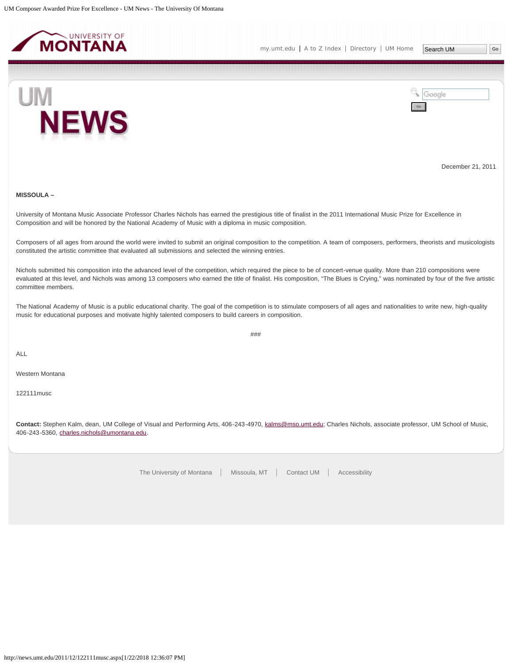<span id="page-6-0"></span>



December 21, 2011

# **MISSOULA –**

University of Montana Music Associate Professor Charles Nichols has earned the prestigious title of finalist in the 2011 International Music Prize for Excellence in Composition and will be honored by the National Academy of Music with a diploma in music composition.

Composers of all ages from around the world were invited to submit an original composition to the competition. A team of composers, performers, theorists and musicologists constituted the artistic committee that evaluated all submissions and selected the winning entries.

Nichols submitted his composition into the advanced level of the competition, which required the piece to be of concert-venue quality. More than 210 compositions were evaluated at this level, and Nichols was among 13 composers who earned the title of finalist. His composition, "The Blues is Crying," was nominated by four of the five artistic committee members.

The National Academy of Music is a public educational charity. The goal of the competition is to stimulate composers of all ages and nationalities to write new, high-quality music for educational purposes and motivate highly talented composers to build careers in composition.

###

ALL

Western Montana

122111musc

**Contact:** Stephen Kalm, dean, UM College of Visual and Performing Arts, 406-243-4970, [kalms@mso.umt.edu](mailto:kalms@mso.umt.edu); Charles Nichols, associate professor, UM School of Music, 406-243-5360, [charles.nichols@umontana.edu](mailto:charles.nichols@umontana.edu).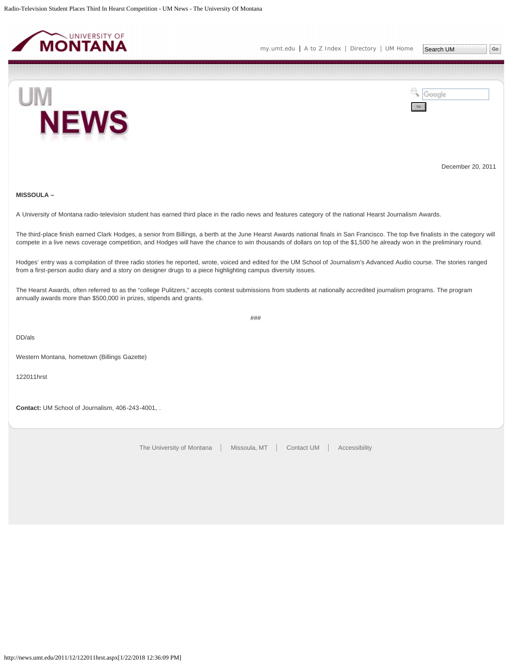<span id="page-7-0"></span>



December 20, 2011

# **MISSOULA –**

A University of Montana radio-television student has earned third place in the radio news and features category of the national Hearst Journalism Awards.

The third-place finish earned Clark Hodges, a senior from Billings, a berth at the June Hearst Awards national finals in San Francisco. The top five finalists in the category will compete in a live news coverage competition, and Hodges will have the chance to win thousands of dollars on top of the \$1,500 he already won in the preliminary round.

Hodges' entry was a compilation of three radio stories he reported, wrote, voiced and edited for the UM School of Journalism's Advanced Audio course. The stories ranged from a first-person audio diary and a story on designer drugs to a piece highlighting campus diversity issues.

The Hearst Awards, often referred to as the "college Pulitzers," accepts contest submissions from students at nationally accredited journalism programs. The program annually awards more than \$500,000 in prizes, stipends and grants.

###

DD/als

Western Montana, hometown (Billings Gazette)

122011hrst

**Contact:** UM School of Journalism, 406-243-4001, .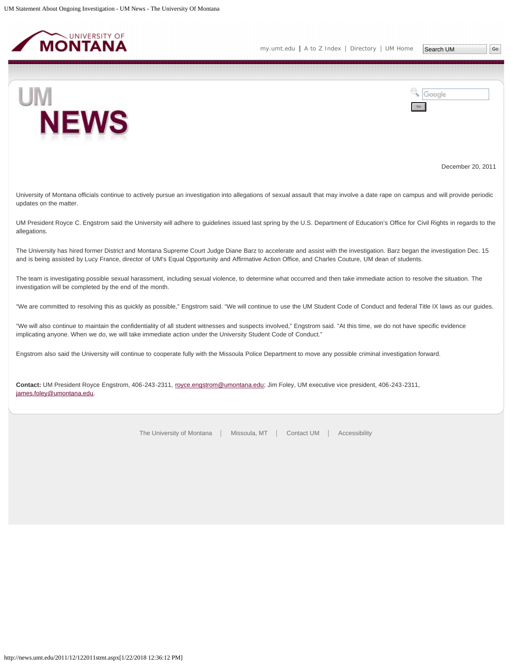<span id="page-8-0"></span>

**NEWS** 

UM



December 20, 2011

University of Montana officials continue to actively pursue an investigation into allegations of sexual assault that may involve a date rape on campus and will provide periodic updates on the matter.

UM President Royce C. Engstrom said the University will adhere to guidelines issued last spring by the U.S. Department of Education's Office for Civil Rights in regards to the allegations.

The University has hired former District and Montana Supreme Court Judge Diane Barz to accelerate and assist with the investigation. Barz began the investigation Dec. 15 and is being assisted by Lucy France, director of UM's Equal Opportunity and Affirmative Action Office, and Charles Couture, UM dean of students.

The team is investigating possible sexual harassment, including sexual violence, to determine what occurred and then take immediate action to resolve the situation. The investigation will be completed by the end of the month.

"We are committed to resolving this as quickly as possible," Engstrom said. "We will continue to use the UM Student Code of Conduct and federal Title IX laws as our guides.

"We will also continue to maintain the confidentiality of all student witnesses and suspects involved," Engstrom said. "At this time, we do not have specific evidence implicating anyone. When we do, we will take immediate action under the University Student Code of Conduct."

Engstrom also said the University will continue to cooperate fully with the Missoula Police Department to move any possible criminal investigation forward.

**Contact:** UM President Royce Engstrom, 406-243-2311, [royce.engstrom@umontana.edu](mailto:royce.engstrom@umontana.edu); Jim Foley, UM executive vice president, 406-243-2311, [james.foley@umontana.edu](mailto:james.foley@umontana.edu).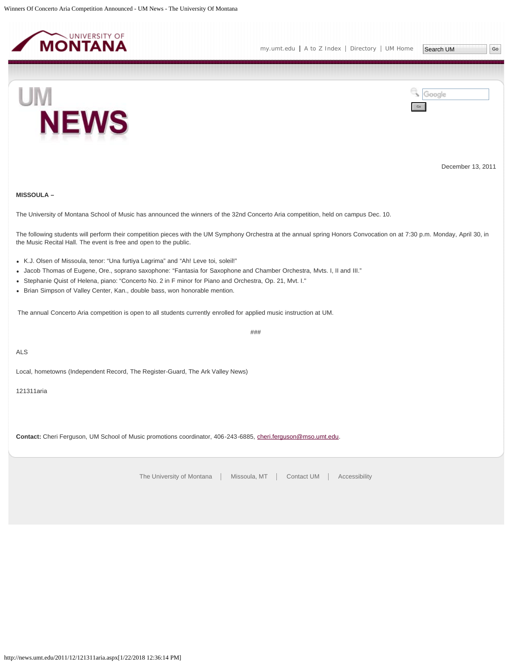<span id="page-9-0"></span>



December 13, 2011

# **MISSOULA –**

The University of Montana School of Music has announced the winners of the 32nd Concerto Aria competition, held on campus Dec. 10.

The following students will perform their competition pieces with the UM Symphony Orchestra at the annual spring Honors Convocation on at 7:30 p.m. Monday, April 30, in the Music Recital Hall. The event is free and open to the public.

- K.J. Olsen of Missoula, tenor: "Una furtiya Lagrima" and "Ah! Leve toi, soleil!"
- Jacob Thomas of Eugene, Ore., soprano saxophone: "Fantasia for Saxophone and Chamber Orchestra, Mvts. I, II and III."
- Stephanie Quist of Helena, piano: "Concerto No. 2 in F minor for Piano and Orchestra, Op. 21, Mvt. I."
- Brian Simpson of Valley Center, Kan., double bass, won honorable mention.

The annual Concerto Aria competition is open to all students currently enrolled for applied music instruction at UM.

###

ALS

Local, hometowns (Independent Record, The Register-Guard, The Ark Valley News)

121311aria

**Contact:** Cheri Ferguson, UM School of Music promotions coordinator, 406-243-6885, [cheri.ferguson@mso.umt.edu](mailto:cheri.ferguson@mso.umt.edu).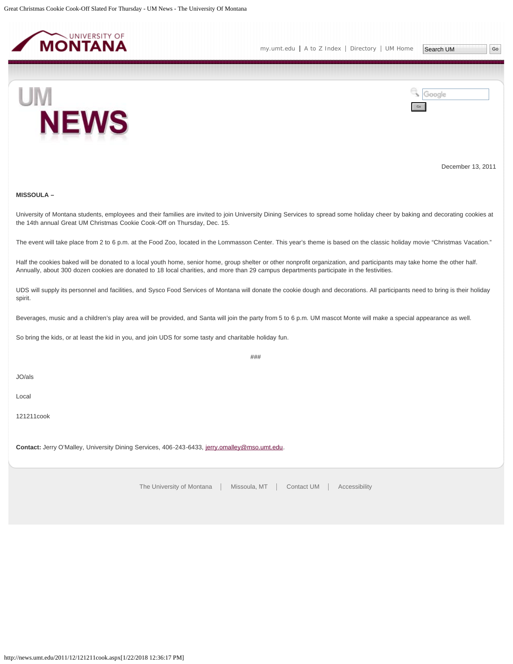<span id="page-10-0"></span>



December 13, 2011

# **MISSOULA –**

University of Montana students, employees and their families are invited to join University Dining Services to spread some holiday cheer by baking and decorating cookies at the 14th annual Great UM Christmas Cookie Cook-Off on Thursday, Dec. 15.

The event will take place from 2 to 6 p.m. at the Food Zoo, located in the Lommasson Center. This year's theme is based on the classic holiday movie "Christmas Vacation."

Half the cookies baked will be donated to a local youth home, senior home, group shelter or other nonprofit organization, and participants may take home the other half. Annually, about 300 dozen cookies are donated to 18 local charities, and more than 29 campus departments participate in the festivities.

UDS will supply its personnel and facilities, and Sysco Food Services of Montana will donate the cookie dough and decorations. All participants need to bring is their holiday spirit.

###

Beverages, music and a children's play area will be provided, and Santa will join the party from 5 to 6 p.m. UM mascot Monte will make a special appearance as well.

So bring the kids, or at least the kid in you, and join UDS for some tasty and charitable holiday fun.

JO/als

Local

121211cook

Contact: Jerry O'Malley, University Dining Services, 406-243-6433, [jerry.omalley@mso.umt.edu](mailto:jerry.omalley@mso.umt.edu).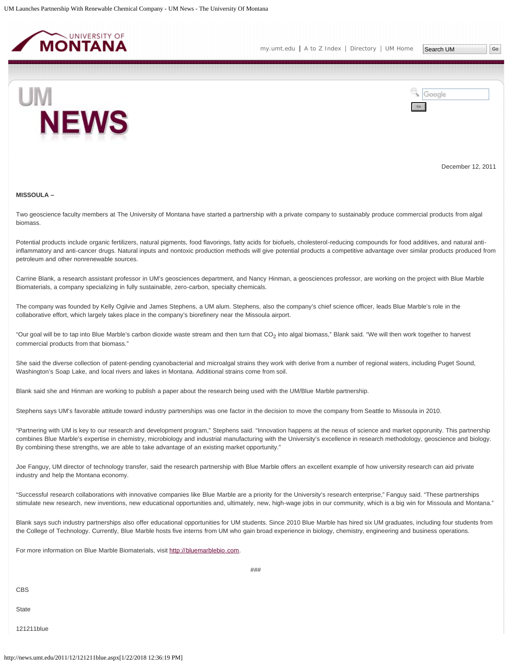<span id="page-11-0"></span>

Google



December 12, 2011

#### **MISSOULA –**

Two geoscience faculty members at The University of Montana have started a partnership with a private company to sustainably produce commercial products from algal biomass.

Potential products include organic fertilizers, natural pigments, food flavorings, fatty acids for biofuels, cholesterol-reducing compounds for food additives, and natural antiinflammatory and anti-cancer drugs. Natural inputs and nontoxic production methods will give potential products a competitive advantage over similar products produced from petroleum and other nonrenewable sources.

Carrine Blank, a research assistant professor in UM's geosciences department, and Nancy Hinman, a geosciences professor, are working on the project with Blue Marble Biomaterials, a company specializing in fully sustainable, zero-carbon, specialty chemicals.

The company was founded by Kelly Ogilvie and James Stephens, a UM alum. Stephens, also the company's chief science officer, leads Blue Marble's role in the collaborative effort, which largely takes place in the company's biorefinery near the Missoula airport.

"Our goal will be to tap into Blue Marble's carbon dioxide waste stream and then turn that CO<sub>2</sub> into algal biomass," Blank said. "We will then work together to harvest commercial products from that biomass."

She said the diverse collection of patent-pending cyanobacterial and microalgal strains they work with derive from a number of regional waters, including Puget Sound, Washington's Soap Lake, and local rivers and lakes in Montana. Additional strains come from soil.

Blank said she and Hinman are working to publish a paper about the research being used with the UM/Blue Marble partnership.

Stephens says UM's favorable attitude toward industry partnerships was one factor in the decision to move the company from Seattle to Missoula in 2010.

"Partnering with UM is key to our research and development program," Stephens said. "Innovation happens at the nexus of science and market opporunity. This partnership combines Blue Marble's expertise in chemistry, microbiology and industrial manufacturing with the University's excellence in research methodology, geoscience and biology. By combining these strengths, we are able to take advantage of an existing market opportunity."

Joe Fanguy, UM director of technology transfer, said the research partnership with Blue Marble offers an excellent example of how university research can aid private industry and help the Montana economy.

"Successful research collaborations with innovative companies like Blue Marble are a priority for the University's research enterprise," Fanguy said. "These partnerships stimulate new research, new inventions, new educational opportunities and, ultimately, new, high-wage jobs in our community, which is a big win for Missoula and Montana."

Blank says such industry partnerships also offer educational opportunities for UM students. Since 2010 Blue Marble has hired six UM graduates, including four students from the College of Technology. Currently, Blue Marble hosts five interns from UM who gain broad experience in biology, chemistry, engineering and business operations.

For more information on Blue Marble Biomaterials, visit [http://bluemarblebio.com](http://bluemarblebio.com/).

CBS

**State** 

121211blue

###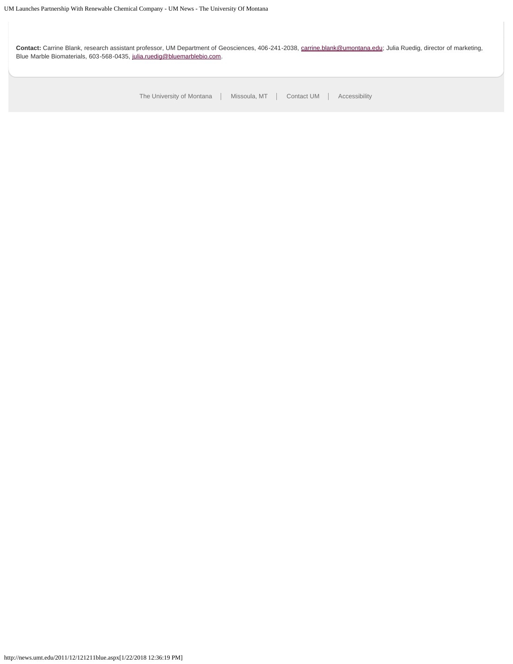**Contact:** Carrine Blank, research assistant professor, UM Department of Geosciences, 406-241-2038, [carrine.blank@umontana.edu;](mailto:carrine.blank@umontana.edu) Julia Ruedig, director of marketing, Blue Marble Biomaterials, 603-568-0435, [julia.ruedig@bluemarblebio.com.](mailto:julia.ruedig@bluemarblebio.com)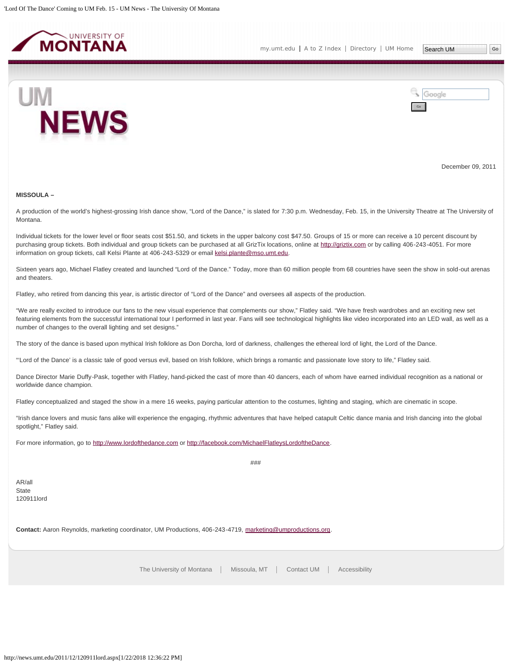<span id="page-13-0"></span>



December 09, 2011

#### **MISSOULA –**

A production of the world's highest-grossing Irish dance show, "Lord of the Dance," is slated for 7:30 p.m. Wednesday, Feb. 15, in the University Theatre at The University of Montana.

Individual tickets for the lower level or floor seats cost \$51.50, and tickets in the upper balcony cost \$47.50. Groups of 15 or more can receive a 10 percent discount by purchasing group tickets. Both individual and group tickets can be purchased at all GrizTix locations, online at [http://griztix.com](http://griztix.com/) or by calling 406-243-4051. For more information on group tickets, call Kelsi Plante at 406-243-5329 or email [kelsi.plante@mso.umt.edu.](mailto:kelsi.plante@mso.umt.edu)

Sixteen years ago, Michael Flatley created and launched "Lord of the Dance." Today, more than 60 million people from 68 countries have seen the show in sold-out arenas and theaters.

Flatley, who retired from dancing this year, is artistic director of "Lord of the Dance" and oversees all aspects of the production.

"We are really excited to introduce our fans to the new visual experience that complements our show," Flatley said. "We have fresh wardrobes and an exciting new set featuring elements from the successful international tour I performed in last year. Fans will see technological highlights like video incorporated into an LED wall, as well as a number of changes to the overall lighting and set designs."

The story of the dance is based upon mythical Irish folklore as Don Dorcha, lord of darkness, challenges the ethereal lord of light, the Lord of the Dance.

"'Lord of the Dance' is a classic tale of good versus evil, based on Irish folklore, which brings a romantic and passionate love story to life," Flatley said.

Dance Director Marie Duffy-Pask, together with Flatley, hand-picked the cast of more than 40 dancers, each of whom have earned individual recognition as a national or worldwide dance champion.

Flatley conceptualized and staged the show in a mere 16 weeks, paying particular attention to the costumes, lighting and staging, which are cinematic in scope.

"Irish dance lovers and music fans alike will experience the engaging, rhythmic adventures that have helped catapult Celtic dance mania and Irish dancing into the global spotlight," Flatley said.

For more information, go to [http://www.lordofthedance.com](http://www.lordofthedance.com/) or<http://facebook.com/MichaelFlatleysLordoftheDance>.

AR/all **State** 120911lord ###

**Contact:** Aaron Reynolds, marketing coordinator, UM Productions, 406-243-4719, [marketing@umproductions.org.](mailto:marketing@umproductions.org)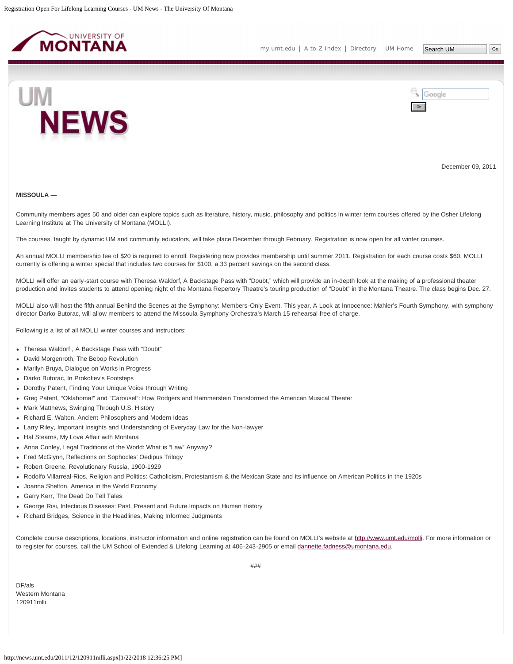<span id="page-14-0"></span>



December 09, 2011

#### **MISSOULA —**

Community members ages 50 and older can explore topics such as literature, history, music, philosophy and politics in winter term courses offered by the Osher Lifelong Learning Institute at The University of Montana (MOLLI).

The courses, taught by dynamic UM and community educators, will take place December through February. Registration is now open for all winter courses.

An annual MOLLI membership fee of \$20 is required to enroll. Registering now provides membership until summer 2011. Registration for each course costs \$60. MOLLI currently is offering a winter special that includes two courses for \$100, a 33 percent savings on the second class.

MOLLI will offer an early-start course with Theresa Waldorf, A Backstage Pass with "Doubt," which will provide an in-depth look at the making of a professional theater production and invites students to attend opening night of the Montana Repertory Theatre's touring production of "Doubt" in the Montana Theatre. The class begins Dec. 27.

MOLLI also will host the fifth annual Behind the Scenes at the Symphony: Members-Only Event. This year, A Look at Innocence: Mahler's Fourth Symphony, with symphony director Darko Butorac, will allow members to attend the Missoula Symphony Orchestra's March 15 rehearsal free of charge.

Following is a list of all MOLLI winter courses and instructors:

- Theresa Waldorf , A Backstage Pass with "Doubt"
- David Morgenroth, The Bebop Revolution
- Marilyn Bruya, Dialogue on Works in Progress
- Darko Butorac, In Prokofiev's Footsteps
- Dorothy Patent, Finding Your Unique Voice through Writing
- Greg Patent, "Oklahoma!" and "Carousel": How Rodgers and Hammerstein Transformed the American Musical Theater
- Mark Matthews, Swinging Through U.S. History
- Richard E. Walton, Ancient Philosophers and Modern Ideas
- Larry Riley, Important Insights and Understanding of Everyday Law for the Non-lawyer
- Hal Stearns, My Love Affair with Montana
- Anna Conley, Legal Traditions of the World: What is "Law" Anyway?
- Fred McGlynn, Reflections on Sophocles' Oedipus Trilogy
- Robert Greene, Revolutionary Russia, 1900-1929
- Rodolfo Villarreal-Rios, Religion and Politics: Catholicism, Protestantism & the Mexican State and its influence on American Politics in the 1920s
- Joanna Shelton, America in the World Economy
- Garry Kerr, The Dead Do Tell Tales
- George Risi, Infectious Diseases: Past, Present and Future Impacts on Human History
- Richard Bridges, Science in the Headlines, Making Informed Judgments

Complete course descriptions, locations, instructor information and online registration can be found on MOLLI's website at [http://www.umt.edu/molli.](http://www.umt.edu/molli) For more information or to register for courses, call the UM School of Extended & Lifelong Learning at 406-243-2905 or email [dannette.fadness@umontana.edu.](mailto:dannette.fadness@umontana.edu)

DF/als Western Montana 120911mlli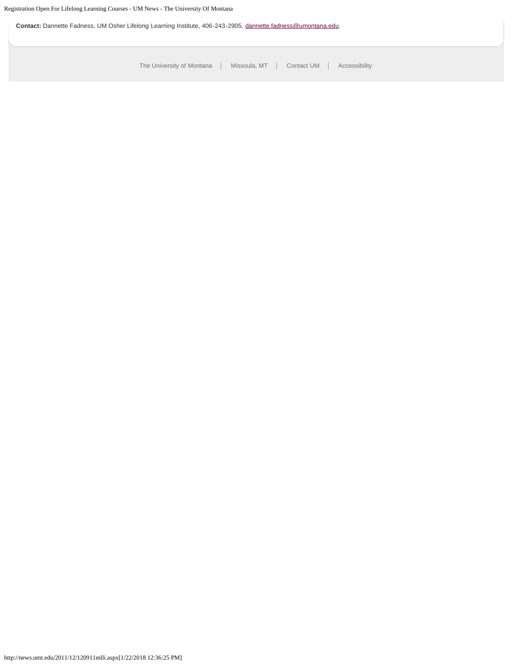**Contact:** Dannette Fadness, UM Osher Lifelong Learning Institute, 406-243-2905, [dannette.fadness@umontana.edu.](mailto:dannette.fadness@umontana.edu)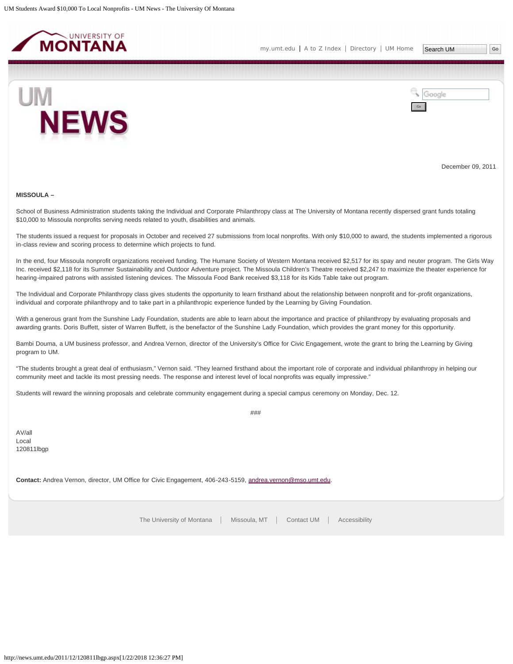<span id="page-16-0"></span>



December 09, 2011

#### **MISSOULA –**

School of Business Administration students taking the Individual and Corporate Philanthropy class at The University of Montana recently dispersed grant funds totaling \$10,000 to Missoula nonprofits serving needs related to youth, disabilities and animals.

The students issued a request for proposals in October and received 27 submissions from local nonprofits. With only \$10,000 to award, the students implemented a rigorous in-class review and scoring process to determine which projects to fund.

In the end, four Missoula nonprofit organizations received funding. The Humane Society of Western Montana received \$2,517 for its spay and neuter program. The Girls Way Inc. received \$2,118 for its Summer Sustainability and Outdoor Adventure project. The Missoula Children's Theatre received \$2,247 to maximize the theater experience for hearing-impaired patrons with assisted listening devices. The Missoula Food Bank received \$3,118 for its Kids Table take out program.

The Individual and Corporate Philanthropy class gives students the opportunity to learn firsthand about the relationship between nonprofit and for-profit organizations, individual and corporate philanthropy and to take part in a philanthropic experience funded by the Learning by Giving Foundation.

With a generous grant from the Sunshine Lady Foundation, students are able to learn about the importance and practice of philanthropy by evaluating proposals and awarding grants. Doris Buffett, sister of Warren Buffett, is the benefactor of the Sunshine Lady Foundation, which provides the grant money for this opportunity.

Bambi Douma, a UM business professor, and Andrea Vernon, director of the University's Office for Civic Engagement, wrote the grant to bring the Learning by Giving program to UM.

"The students brought a great deal of enthusiasm," Vernon said. "They learned firsthand about the important role of corporate and individual philanthropy in helping our community meet and tackle its most pressing needs. The response and interest level of local nonprofits was equally impressive."

Students will reward the winning proposals and celebrate community engagement during a special campus ceremony on Monday, Dec. 12.

###

AV/all Local 120811lbgp

**Contact:** Andrea Vernon, director, UM Office for Civic Engagement, 406-243-5159, [andrea.vernon@mso.umt.edu.](mailto:andrea.vernon@mso.umt.edu)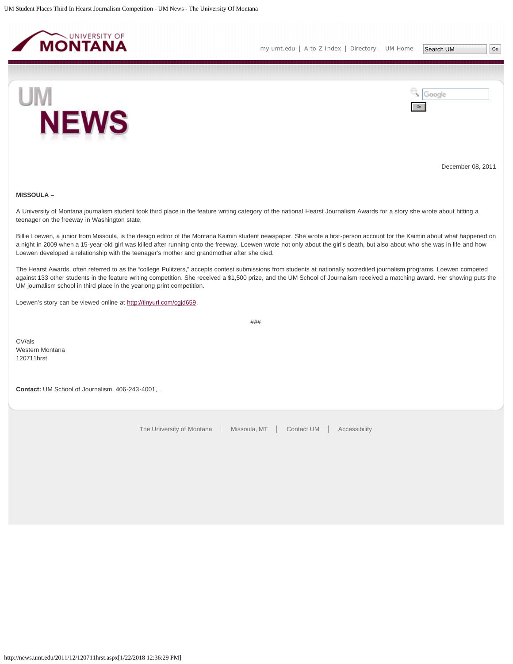<span id="page-17-0"></span>



December 08, 2011

# **MISSOULA –**

A University of Montana journalism student took third place in the feature writing category of the national Hearst Journalism Awards for a story she wrote about hitting a teenager on the freeway in Washington state.

Billie Loewen, a junior from Missoula, is the design editor of the Montana Kaimin student newspaper. She wrote a first-person account for the Kaimin about what happened on a night in 2009 when a 15-year-old girl was killed after running onto the freeway. Loewen wrote not only about the girl's death, but also about who she was in life and how Loewen developed a relationship with the teenager's mother and grandmother after she died.

The Hearst Awards, often referred to as the "college Pulitzers," accepts contest submissions from students at nationally accredited journalism programs. Loewen competed against 133 other students in the feature writing competition. She received a \$1,500 prize, and the UM School of Journalism received a matching award. Her showing puts the UM journalism school in third place in the yearlong print competition.

Loewen's story can be viewed online at [http://tinyurl.com/cgjd659.](http://tinyurl.com/cgjd659)

###

CV/als Western Montana 120711hrst

**Contact:** UM School of Journalism, 406-243-4001, .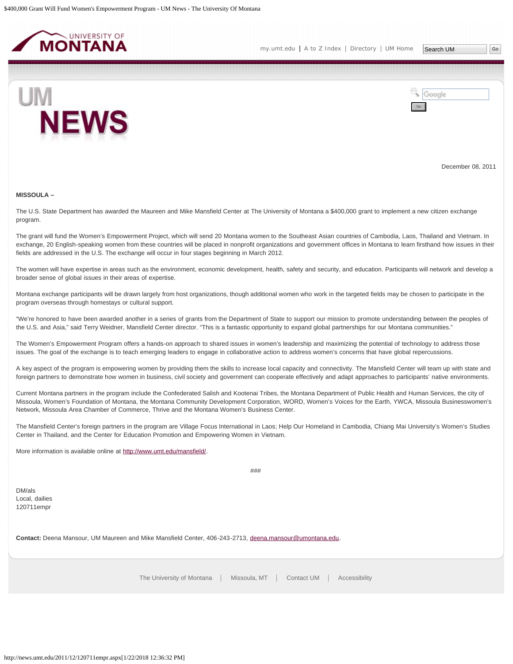<span id="page-18-0"></span>



December 08, 2011

#### **MISSOULA –**

The U.S. State Department has awarded the Maureen and Mike Mansfield Center at The University of Montana a \$400,000 grant to implement a new citizen exchange program.

The grant will fund the Women's Empowerment Project, which will send 20 Montana women to the Southeast Asian countries of Cambodia, Laos, Thailand and Vietnam. In exchange, 20 English-speaking women from these countries will be placed in nonprofit organizations and government offices in Montana to learn firsthand how issues in their fields are addressed in the U.S. The exchange will occur in four stages beginning in March 2012.

The women will have expertise in areas such as the environment, economic development, health, safety and security, and education. Participants will network and develop a broader sense of global issues in their areas of expertise.

Montana exchange participants will be drawn largely from host organizations, though additional women who work in the targeted fields may be chosen to participate in the program overseas through homestays or cultural support.

"We're honored to have been awarded another in a series of grants from the Department of State to support our mission to promote understanding between the peoples of the U.S. and Asia," said Terry Weidner, Mansfield Center director. "This is a fantastic opportunity to expand global partnerships for our Montana communities."

The Women's Empowerment Program offers a hands-on approach to shared issues in women's leadership and maximizing the potential of technology to address those issues. The goal of the exchange is to teach emerging leaders to engage in collaborative action to address women's concerns that have global repercussions.

A key aspect of the program is empowering women by providing them the skills to increase local capacity and connectivity. The Mansfield Center will team up with state and foreign partners to demonstrate how women in business, civil society and government can cooperate effectively and adapt approaches to participants' native environments.

Current Montana partners in the program include the Confederated Salish and Kootenai Tribes, the Montana Department of Public Health and Human Services, the city of Missoula, Women's Foundation of Montana, the Montana Community Development Corporation, WORD, Women's Voices for the Earth, YWCA, Missoula Businesswomen's Network, Missoula Area Chamber of Commerce, Thrive and the Montana Women's Business Center.

The Mansfield Center's foreign partners in the program are Village Focus International in Laos; Help Our Homeland in Cambodia, Chiang Mai University's Women's Studies Center in Thailand, and the Center for Education Promotion and Empowering Women in Vietnam.

More information is available online at<http://www.umt.edu/mansfield/>.

###

DM/als Local, dailies 120711empr

**Contact:** Deena Mansour, UM Maureen and Mike Mansfield Center, 406-243-2713, [deena.mansour@umontana.edu](mailto:deena.mansour@umontana.edu).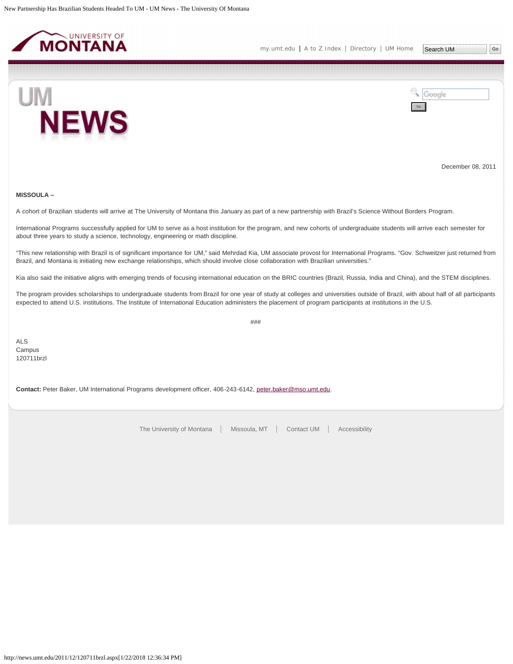<span id="page-19-0"></span>



December 08, 2011

# **MISSOULA –**

A cohort of Brazilian students will arrive at The University of Montana this January as part of a new partnership with Brazil's Science Without Borders Program.

International Programs successfully applied for UM to serve as a host institution for the program, and new cohorts of undergraduate students will arrive each semester for about three years to study a science, technology, engineering or math discipline.

"This new relationship with Brazil is of significant importance for UM," said Mehrdad Kia, UM associate provost for International Programs. "Gov. Schweitzer just returned from Brazil, and Montana is initiating new exchange relationships, which should involve close collaboration with Brazilian universities."

Kia also said the initiative aligns with emerging trends of focusing international education on the BRIC countries (Brazil, Russia, India and China), and the STEM disciplines.

The program provides scholarships to undergraduate students from Brazil for one year of study at colleges and universities outside of Brazil, with about half of all participants expected to attend U.S. institutions. The Institute of International Education administers the placement of program participants at institutions in the U.S.

###

ALS Campus 120711brzl

**Contact:** Peter Baker, UM International Programs development officer, 406-243-6142, [peter.baker@mso.umt.edu](mailto:peter.baker@mso.umt.edu).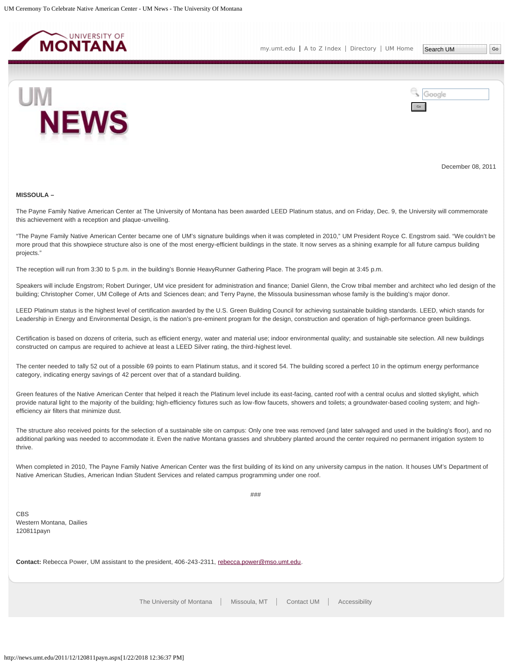<span id="page-20-0"></span>



December 08, 2011

#### **MISSOULA –**

The Payne Family Native American Center at The University of Montana has been awarded LEED Platinum status, and on Friday, Dec. 9, the University will commemorate this achievement with a reception and plaque-unveiling.

"The Payne Family Native American Center became one of UM's signature buildings when it was completed in 2010," UM President Royce C. Engstrom said. "We couldn't be more proud that this showpiece structure also is one of the most energy-efficient buildings in the state. It now serves as a shining example for all future campus building projects."

The reception will run from 3:30 to 5 p.m. in the building's Bonnie HeavyRunner Gathering Place. The program will begin at 3:45 p.m.

Speakers will include Engstrom; Robert Duringer, UM vice president for administration and finance; Daniel Glenn, the Crow tribal member and architect who led design of the building; Christopher Comer, UM College of Arts and Sciences dean; and Terry Payne, the Missoula businessman whose family is the building's major donor.

LEED Platinum status is the highest level of certification awarded by the U.S. Green Building Council for achieving sustainable building standards. LEED, which stands for Leadership in Energy and Environmental Design, is the nation's pre-eminent program for the design, construction and operation of high-performance green buildings.

Certification is based on dozens of criteria, such as efficient energy, water and material use; indoor environmental quality; and sustainable site selection. All new buildings constructed on campus are required to achieve at least a LEED Silver rating, the third-highest level.

The center needed to tally 52 out of a possible 69 points to earn Platinum status, and it scored 54. The building scored a perfect 10 in the optimum energy performance category, indicating energy savings of 42 percent over that of a standard building.

Green features of the Native American Center that helped it reach the Platinum level include its east-facing, canted roof with a central oculus and slotted skylight, which provide natural light to the majority of the building; high-efficiency fixtures such as low-flow faucets, showers and toilets; a groundwater-based cooling system; and highefficiency air filters that minimize dust.

The structure also received points for the selection of a sustainable site on campus: Only one tree was removed (and later salvaged and used in the building's floor), and no additional parking was needed to accommodate it. Even the native Montana grasses and shrubbery planted around the center required no permanent irrigation system to thrive.

When completed in 2010, The Payne Family Native American Center was the first building of its kind on any university campus in the nation. It houses UM's Department of Native American Studies, American Indian Student Services and related campus programming under one roof.

###

**CBS** Western Montana, Dailies 120811payn

Contact: Rebecca Power, UM assistant to the president, 406-243-2311, [rebecca.power@mso.umt.edu](mailto:rebecca.power@mso.umt.edu).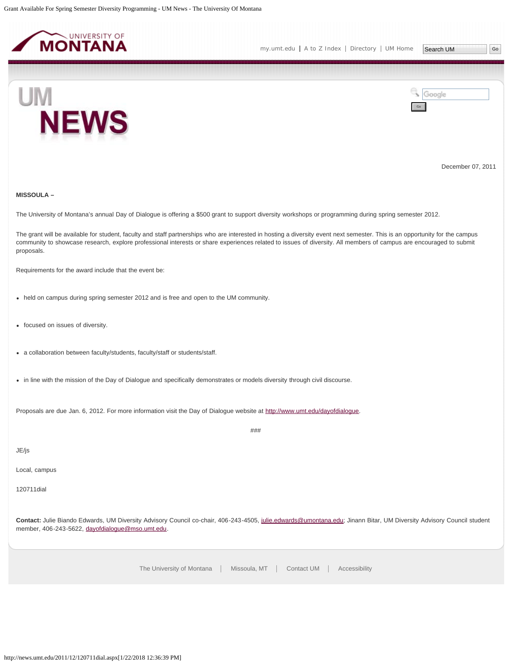<span id="page-21-0"></span>

Google



December 07, 2011

## **MISSOULA –**

The University of Montana's annual Day of Dialogue is offering a \$500 grant to support diversity workshops or programming during spring semester 2012.

The grant will be available for student, faculty and staff partnerships who are interested in hosting a diversity event next semester. This is an opportunity for the campus community to showcase research, explore professional interests or share experiences related to issues of diversity. All members of campus are encouraged to submit proposals.

Requirements for the award include that the event be:

- held on campus during spring semester 2012 and is free and open to the UM community.
- focused on issues of diversity.
- a collaboration between faculty/students, faculty/staff or students/staff.
- in line with the mission of the Day of Dialogue and specifically demonstrates or models diversity through civil discourse.

Proposals are due Jan. 6, 2012. For more information visit the Day of Dialogue website at [http://www.umt.edu/dayofdialogue.](http://www.umt.edu/dayofdialogue)

JE/js

Local, campus

120711dial

**Contact:** Julie Biando Edwards, UM Diversity Advisory Council co-chair, 406-243-4505, [julie.edwards@umontana.edu](mailto:julie.edwards@umontana.edu); Jinann Bitar, UM Diversity Advisory Council student member, 406-243-5622, [dayofdialogue@mso.umt.edu](mailto:dayofdialogue@mso.umt.edu).

###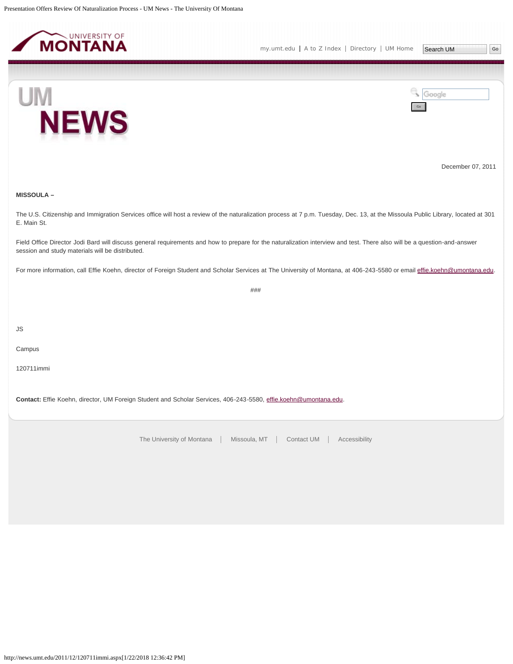<span id="page-22-0"></span>



Google



December 07, 2011

# **MISSOULA –**

The U.S. Citizenship and Immigration Services office will host a review of the naturalization process at 7 p.m. Tuesday, Dec. 13, at the Missoula Public Library, located at 301 E. Main St.

Field Office Director Jodi Bard will discuss general requirements and how to prepare for the naturalization interview and test. There also will be a question-and-answer session and study materials will be distributed.

For more information, call Effie Koehn, director of Foreign Student and Scholar Services at The University of Montana, at 406-243-5580 or email [effie.koehn@umontana.edu](mailto:effie.koehn@umontana.edu).

###

JS

Campus

120711immi

**Contact:** Effie Koehn, director, UM Foreign Student and Scholar Services, 406-243-5580, [effie.koehn@umontana.edu](mailto:effie.koehn@umontana.edu).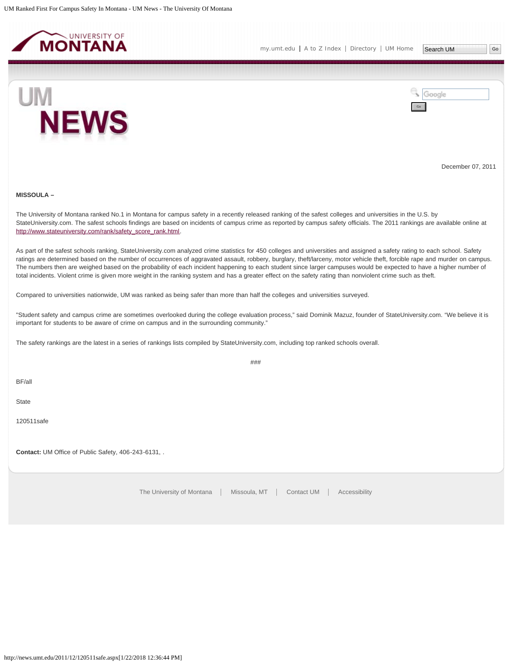<span id="page-23-0"></span>

Google





December 07, 2011

## **MISSOULA –**

The University of Montana ranked No.1 in Montana for campus safety in a recently released ranking of the safest colleges and universities in the U.S. by StateUniversity.com. The safest schools findings are based on incidents of campus crime as reported by campus safety officials. The 2011 rankings are available online at [http://www.stateuniversity.com/rank/safety\\_score\\_rank.html](http://us.lrd.yahoo.com/SIG=12e7hph1v/EXP=1324323726/**http%3A/www.stateuniversity.com/rank/safety_score_rank.html).

As part of the safest schools ranking, StateUniversity.com analyzed crime statistics for 450 colleges and universities and assigned a safety rating to each school. Safety ratings are determined based on the number of occurrences of aggravated assault, robbery, burglary, theft/larceny, motor vehicle theft, forcible rape and murder on campus. The numbers then are weighed based on the probability of each incident happening to each student since larger campuses would be expected to have a higher number of total incidents. Violent crime is given more weight in the ranking system and has a greater effect on the safety rating than nonviolent crime such as theft.

Compared to universities nationwide, UM was ranked as being safer than more than half the colleges and universities surveyed.

"Student safety and campus crime are sometimes overlooked during the college evaluation process," said Dominik Mazuz, founder of StateUniversity.com. "We believe it is important for students to be aware of crime on campus and in the surrounding community."

The safety rankings are the latest in a series of rankings lists compiled by StateUniversity.com, including top ranked schools overall.

###

BF/all

**State** 

120511safe

**Contact:** UM Office of Public Safety, 406-243-6131, .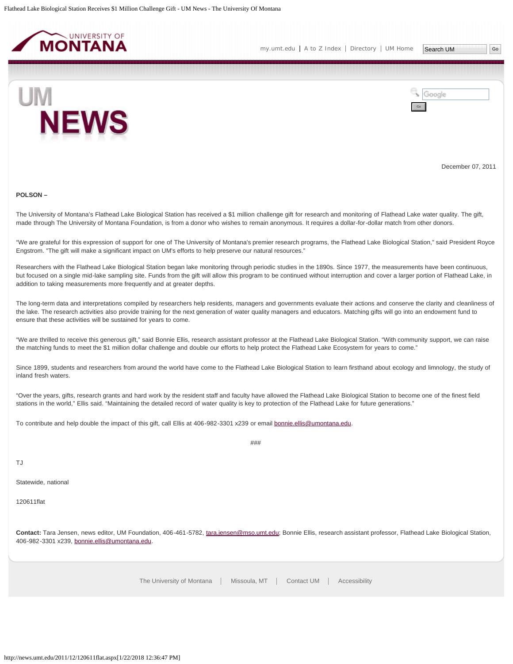<span id="page-24-0"></span>



December 07, 2011

#### **POLSON –**

The University of Montana's Flathead Lake Biological Station has received a \$1 million challenge gift for research and monitoring of Flathead Lake water quality. The gift, made through The University of Montana Foundation, is from a donor who wishes to remain anonymous. It requires a dollar-for-dollar match from other donors.

"We are grateful for this expression of support for one of The University of Montana's premier research programs, the Flathead Lake Biological Station," said President Royce Engstrom. "The gift will make a significant impact on UM's efforts to help preserve our natural resources."

Researchers with the Flathead Lake Biological Station began lake monitoring through periodic studies in the 1890s. Since 1977, the measurements have been continuous, but focused on a single mid-lake sampling site. Funds from the gift will allow this program to be continued without interruption and cover a larger portion of Flathead Lake, in addition to taking measurements more frequently and at greater depths.

The long-term data and interpretations compiled by researchers help residents, managers and governments evaluate their actions and conserve the clarity and cleanliness of the lake. The research activities also provide training for the next generation of water quality managers and educators. Matching gifts will go into an endowment fund to ensure that these activities will be sustained for years to come.

"We are thrilled to receive this generous gift," said Bonnie Ellis, research assistant professor at the Flathead Lake Biological Station. "With community support, we can raise the matching funds to meet the \$1 million dollar challenge and double our efforts to help protect the Flathead Lake Ecosystem for years to come."

Since 1899, students and researchers from around the world have come to the Flathead Lake Biological Station to learn firsthand about ecology and limnology, the study of inland fresh waters.

"Over the years, gifts, research grants and hard work by the resident staff and faculty have allowed the Flathead Lake Biological Station to become one of the finest field stations in the world," Ellis said. "Maintaining the detailed record of water quality is key to protection of the Flathead Lake for future generations."

###

To contribute and help double the impact of this gift, call Ellis at 406-982-3301 x239 or email [bonnie.ellis@umontana.edu](mailto:bonnie.ellis@umontana.edu).

TJ

Statewide, national

120611flat

**Contact:** Tara Jensen, news editor, UM Foundation, 406-461-5782, [tara.jensen@mso.umt.edu;](mailto:tara.jensen@mso.umt.edu) Bonnie Ellis, research assistant professor, Flathead Lake Biological Station, 406-982-3301 x239, [bonnie.ellis@umontana.edu.](mailto:bonnie.ellis@umontana.edu)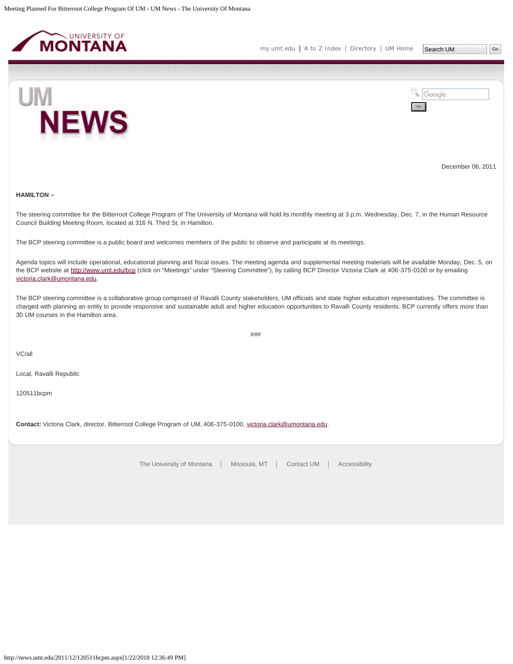<span id="page-25-0"></span>

[my.umt.edu](http://my.umt.edu/) | [A to Z Index](http://www.umt.edu/search/atoz/) | [Directory](http://www.umt.edu/directory/) | [UM Home](http://www.umt.edu/)



Google Go

December 06, 2011

# **HAMILTON –**

The steering committee for the Bitterroot College Program of The University of Montana will hold its monthly meeting at 3 p.m. Wednesday, Dec. 7, in the Human Resource Council Building Meeting Room, located at 316 N. Third St. in Hamilton.

The BCP steering committee is a public board and welcomes members of the public to observe and participate at its meetings.

Agenda topics will include operational, educational planning and fiscal issues. The meeting agenda and supplemental meeting materials will be available Monday, Dec. 5, on the BCP website at [http://www.umt.edu/bcp](http://www.umt.edu/bcp#_blank) (click on "Meetings" under "Steering Committee"), by calling BCP Director Victoria Clark at 406-375-0100 or by emailing [victoria.clark@umontana.edu](mailto:victoria.clark@umontana.edu).

The BCP steering committee is a collaborative group comprised of Ravalli County stakeholders, UM officials and state higher education representatives. The committee is charged with planning an entity to provide responsive and sustainable adult and higher education opportunities to Ravalli County residents. BCP currently offers more than 30 UM courses in the Hamilton area.

###

VC/all

Local, Ravalli Republic

120511bcpm

**Contact:** Victoria Clark, director, Bitterroot College Program of UM, 406-375-0100, [victoria.clark@umontana.edu.](mailto:victoria.clark@umontana.edu)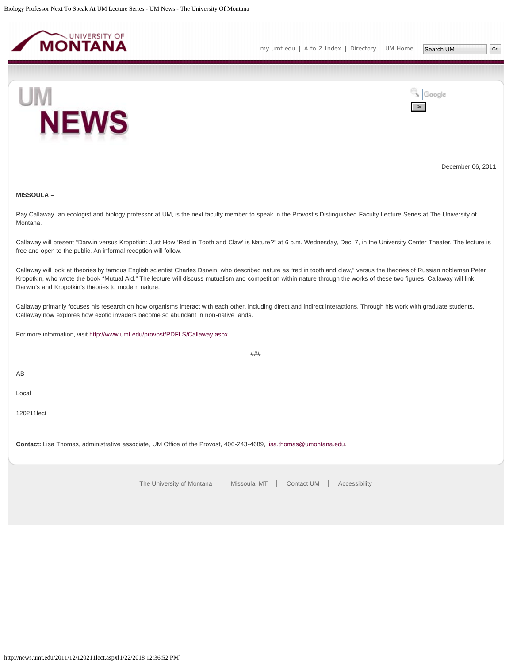<span id="page-26-0"></span>



December 06, 2011

# **MISSOULA –**

Ray Callaway, an ecologist and biology professor at UM, is the next faculty member to speak in the Provost's Distinguished Faculty Lecture Series at The University of Montana.

Callaway will present "Darwin versus Kropotkin: Just How 'Red in Tooth and Claw' is Nature?" at 6 p.m. Wednesday, Dec. 7, in the University Center Theater. The lecture is free and open to the public. An informal reception will follow.

Callaway will look at theories by famous English scientist Charles Darwin, who described nature as "red in tooth and claw," versus the theories of Russian nobleman Peter Kropotkin, who wrote the book "Mutual Aid." The lecture will discuss mutualism and competition within nature through the works of these two figures. Callaway will link Darwin's and Kropotkin's theories to modern nature.

Callaway primarily focuses his research on how organisms interact with each other, including direct and indirect interactions. Through his work with graduate students, Callaway now explores how exotic invaders become so abundant in non-native lands.

###

For more information, visit [http://www.umt.edu/provost/PDFLS/Callaway.aspx.](http://www.umt.edu/provost/PDFLS/Callaway.aspx)

AB

Local

120211lect

**Contact:** Lisa Thomas, administrative associate, UM Office of the Provost, 406-243-4689, [lisa.thomas@umontana.edu](mailto:lisa.thomas@umontana.edu).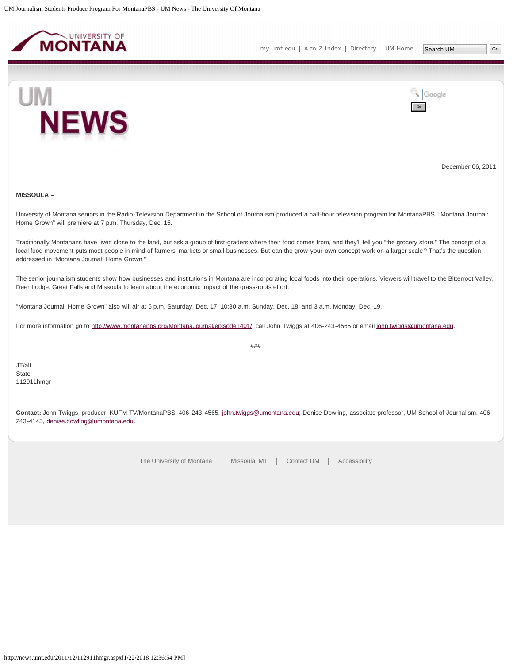<span id="page-27-0"></span>



December 06, 2011

# **MISSOULA –**

University of Montana seniors in the Radio-Television Department in the School of Journalism produced a half-hour television program for MontanaPBS. "Montana Journal: Home Grown" will premiere at 7 p.m. Thursday, Dec. 15.

Traditionally Montanans have lived close to the land, but ask a group of first-graders where their food comes from, and they'll tell you "the grocery store." The concept of a local food movement puts most people in mind of farmers' markets or small businesses. But can the grow-your-own concept work on a larger scale? That's the question addressed in "Montana Journal: Home Grown."

The senior journalism students show how businesses and institutions in Montana are incorporating local foods into their operations. Viewers will travel to the Bitterroot Valley, Deer Lodge, Great Falls and Missoula to learn about the economic impact of the grass-roots effort.

"Montana Journal: Home Grown" also will air at 5 p.m. Saturday, Dec. 17, 10:30 a.m. Sunday, Dec. 18, and 3 a.m. Monday, Dec. 19.

For more information go to [http://www.montanapbs.org/MontanaJournal/episode1401/,](http://www.montanapbs.org/MontanaJournal/episode1401/) call John Twiggs at 406-243-4565 or email [john.twiggs@umontana.edu](mailto:john.twiggs@umontana.edu).

###

JT/all **State** 112911hmgr

**Contact:** John Twiggs, producer, KUFM-TV/MontanaPBS, 406-243-4565, [john.twiggs@umontana.edu](mailto:john.twiggs@umontana.edu); Denise Dowling, associate professor, UM School of Journalism, 406- 243-4143, [denise.dowling@umontana.edu.](mailto:denise.dowling@umontana.edu)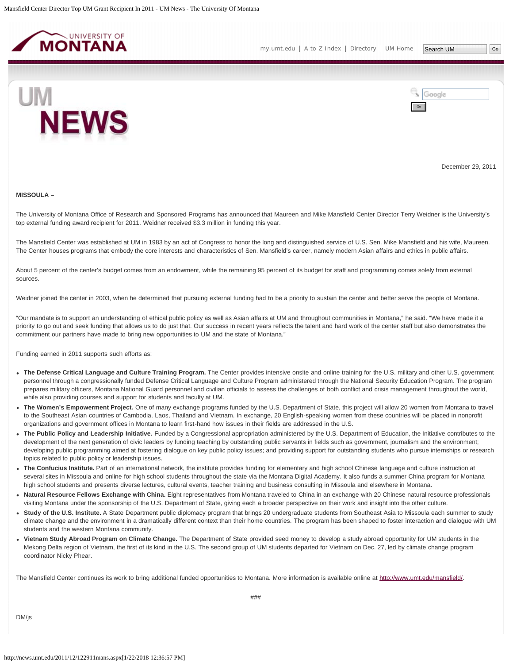<span id="page-28-0"></span>



December 29, 2011

#### **MISSOULA –**

The University of Montana Office of Research and Sponsored Programs has announced that Maureen and Mike Mansfield Center Director Terry Weidner is the University's top external funding award recipient for 2011. Weidner received \$3.3 million in funding this year.

The Mansfield Center was established at UM in 1983 by an act of Congress to honor the long and distinguished service of U.S. Sen. Mike Mansfield and his wife, Maureen. The Center houses programs that embody the core interests and characteristics of Sen. Mansfield's career, namely modern Asian affairs and ethics in public affairs.

About 5 percent of the center's budget comes from an endowment, while the remaining 95 percent of its budget for staff and programming comes solely from external sources.

Weidner joined the center in 2003, when he determined that pursuing external funding had to be a priority to sustain the center and better serve the people of Montana.

"Our mandate is to support an understanding of ethical public policy as well as Asian affairs at UM and throughout communities in Montana," he said. "We have made it a priority to go out and seek funding that allows us to do just that. Our success in recent years reflects the talent and hard work of the center staff but also demonstrates the commitment our partners have made to bring new opportunities to UM and the state of Montana."

Funding earned in 2011 supports such efforts as:

- **The Defense Critical Language and Culture Training Program.** The Center provides intensive onsite and online training for the U.S. military and other U.S. government personnel through a congressionally funded Defense Critical Language and Culture Program administered through the National Security Education Program. The program prepares military officers, Montana National Guard personnel and civilian officials to assess the challenges of both conflict and crisis management throughout the world, while also providing courses and support for students and faculty at UM.
- **The Women's Empowerment Project.** One of many exchange programs funded by the U.S. Department of State, this project will allow 20 women from Montana to travel to the Southeast Asian countries of Cambodia, Laos, Thailand and Vietnam. In exchange, 20 English-speaking women from these countries will be placed in nonprofit organizations and government offices in Montana to learn first-hand how issues in their fields are addressed in the U.S.
- **The Public Policy and Leadership Initiative.** Funded by a Congressional appropriation administered by the U.S. Department of Education, the Initiative contributes to the development of the next generation of civic leaders by funding teaching by outstanding public servants in fields such as government, journalism and the environment; developing public programming aimed at fostering dialogue on key public policy issues; and providing support for outstanding students who pursue internships or research topics related to public policy or leadership issues.
- **The Confucius Institute.** Part of an international network, the institute provides funding for elementary and high school Chinese language and culture instruction at several sites in Missoula and online for high school students throughout the state via the Montana Digital Academy. It also funds a summer China program for Montana high school students and presents diverse lectures, cultural events, teacher training and business consulting in Missoula and elsewhere in Montana.
- **Natural Resource Fellows Exchange with China.** Eight representatives from Montana traveled to China in an exchange with 20 Chinese natural resource professionals visiting Montana under the sponsorship of the U.S. Department of State, giving each a broader perspective on their work and insight into the other culture.
- **Study of the U.S. Institute.** A State Department public diplomacy program that brings 20 undergraduate students from Southeast Asia to Missoula each summer to study climate change and the environment in a dramatically different context than their home countries. The program has been shaped to foster interaction and dialogue with UM students and the western Montana community.
- **Vietnam Study Abroad Program on Climate Change.** The Department of State provided seed money to develop a study abroad opportunity for UM students in the Mekong Delta region of Vietnam, the first of its kind in the U.S. The second group of UM students departed for Vietnam on Dec. 27, led by climate change program coordinator Nicky Phear.

The Mansfield Center continues its work to bring additional funded opportunities to Montana. More information is available online at<http://www.umt.edu/mansfield/>.

DM/js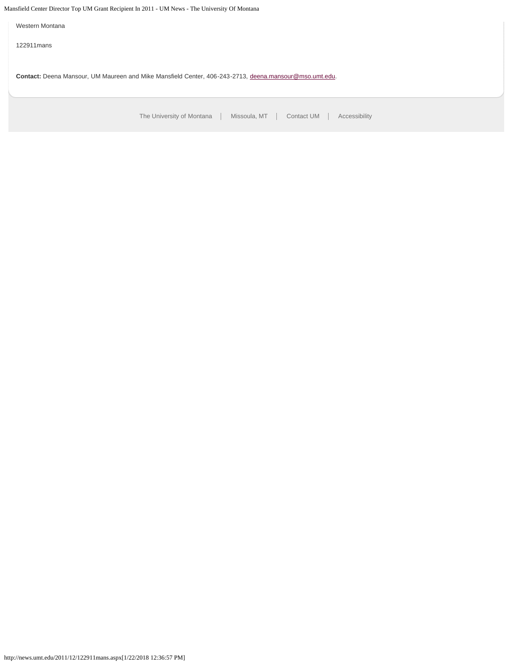Mansfield Center Director Top UM Grant Recipient In 2011 - UM News - The University Of Montana

Western Montana

122911mans

**Contact:** Deena Mansour, UM Maureen and Mike Mansfield Center, 406-243-2713, [deena.mansour@mso.umt.edu](mailto:deena.mansour@mso.umt.edu).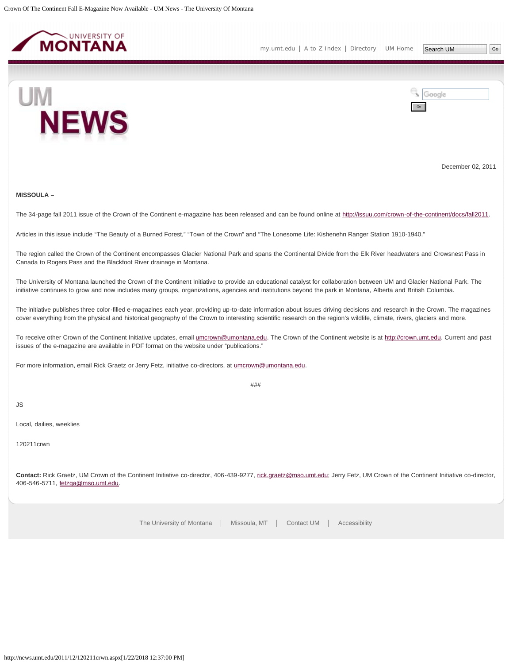<span id="page-30-0"></span>



December 02, 2011

# **MISSOULA –**

The 34-page fall 2011 issue of the Crown of the Continent e-magazine has been released and can be found online at<http://issuu.com/crown-of-the-continent/docs/fall2011>.

Articles in this issue include "The Beauty of a Burned Forest," "Town of the Crown" and "The Lonesome Life: Kishenehn Ranger Station 1910-1940."

The region called the Crown of the Continent encompasses Glacier National Park and spans the Continental Divide from the Elk River headwaters and Crowsnest Pass in Canada to Rogers Pass and the Blackfoot River drainage in Montana.

The University of Montana launched the Crown of the Continent Initiative to provide an educational catalyst for collaboration between UM and Glacier National Park. The initiative continues to grow and now includes many groups, organizations, agencies and institutions beyond the park in Montana, Alberta and British Columbia.

The initiative publishes three color-filled e-magazines each year, providing up-to-date information about issues driving decisions and research in the Crown. The magazines cover everything from the physical and historical geography of the Crown to interesting scientific research on the region's wildlife, climate, rivers, glaciers and more.

To receive other Crown of the Continent Initiative updates, email *umcrown@umontana.edu*. The Crown of the Continent website is at [http://crown.umt.edu](http://crown.umt.edu/). Current and past issues of the e-magazine are available in PDF format on the website under "publications."

For more information, email Rick Graetz or Jerry Fetz, initiative co-directors, at [umcrown@umontana.edu](mailto:umcrown@umontana.edu).

###

JS

Local, dailies, weeklies

120211crwn

Contact: Rick Graetz, UM Crown of the Continent Initiative co-director, 406-439-9277, [rick.graetz@mso.umt.edu](mailto:rick.graetz@mso.umt.edu); Jerry Fetz, UM Crown of the Continent Initiative co-director, 406-546-5711, [fetzga@mso.umt.edu.](mailto:fetzga@mso.umt.edu)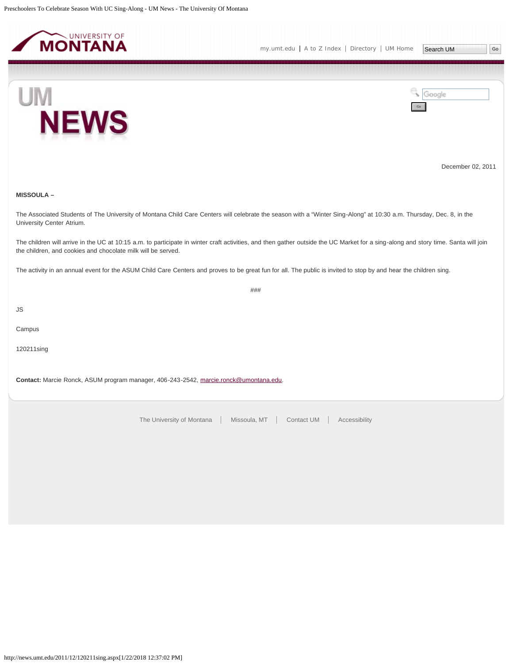<span id="page-31-0"></span>

Google



December 02, 2011

**MISSOULA –**

The Associated Students of The University of Montana Child Care Centers will celebrate the season with a "Winter Sing-Along" at 10:30 a.m. Thursday, Dec. 8, in the University Center Atrium.

The children will arrive in the UC at 10:15 a.m. to participate in winter craft activities, and then gather outside the UC Market for a sing-along and story time. Santa will join the children, and cookies and chocolate milk will be served.

###

The activity in an annual event for the ASUM Child Care Centers and proves to be great fun for all. The public is invited to stop by and hear the children sing.

JS

Campus

120211sing

**Contact:** Marcie Ronck, ASUM program manager, 406-243-2542, [marcie.ronck@umontana.edu](mailto:marcie.ronck@umontana.edu).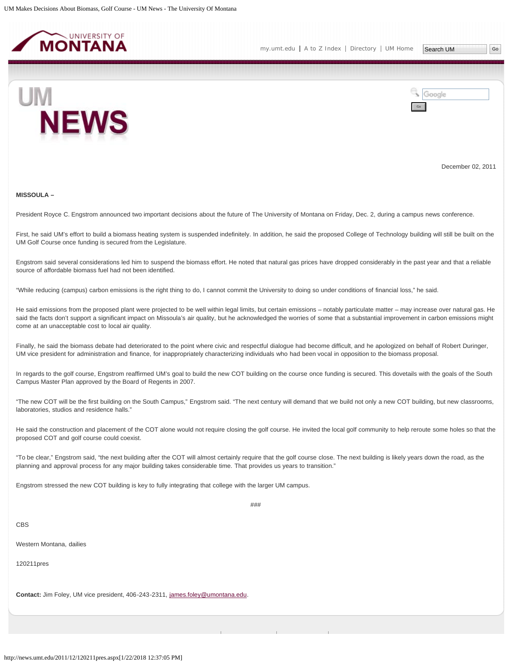<span id="page-32-0"></span>



December 02, 2011

#### **MISSOULA –**

President Royce C. Engstrom announced two important decisions about the future of The University of Montana on Friday, Dec. 2, during a campus news conference.

First, he said UM's effort to build a biomass heating system is suspended indefinitely. In addition, he said the proposed College of Technology building will still be built on the UM Golf Course once funding is secured from the Legislature.

Engstrom said several considerations led him to suspend the biomass effort. He noted that natural gas prices have dropped considerably in the past year and that a reliable source of affordable biomass fuel had not been identified.

"While reducing (campus) carbon emissions is the right thing to do, I cannot commit the University to doing so under conditions of financial loss," he said.

He said emissions from the proposed plant were projected to be well within legal limits, but certain emissions - notably particulate matter - may increase over natural gas. He said the facts don't support a significant impact on Missoula's air quality, but he acknowledged the worries of some that a substantial improvement in carbon emissions might come at an unacceptable cost to local air quality.

Finally, he said the biomass debate had deteriorated to the point where civic and respectful dialogue had become difficult, and he apologized on behalf of Robert Duringer, UM vice president for administration and finance, for inappropriately characterizing individuals who had been vocal in opposition to the biomass proposal.

In regards to the golf course, Engstrom reaffirmed UM's goal to build the new COT building on the course once funding is secured. This dovetails with the goals of the South Campus Master Plan approved by the Board of Regents in 2007.

"The new COT will be the first building on the South Campus," Engstrom said. "The next century will demand that we build not only a new COT building, but new classrooms, laboratories, studios and residence halls."

He said the construction and placement of the COT alone would not require closing the golf course. He invited the local golf community to help reroute some holes so that the proposed COT and golf course could coexist.

"To be clear," Engstrom said, "the next building after the COT will almost certainly require that the golf course close. The next building is likely years down the road, as the planning and approval process for any major building takes considerable time. That provides us years to transition."

Engstrom stressed the new COT building is key to fully integrating that college with the larger UM campus.

###

CBS

Western Montana, dailies

120211pres

**Contact:** Jim Foley, UM vice president, 406-243-2311, [james.foley@umontana.edu](mailto:james.foley@umontana.edu).